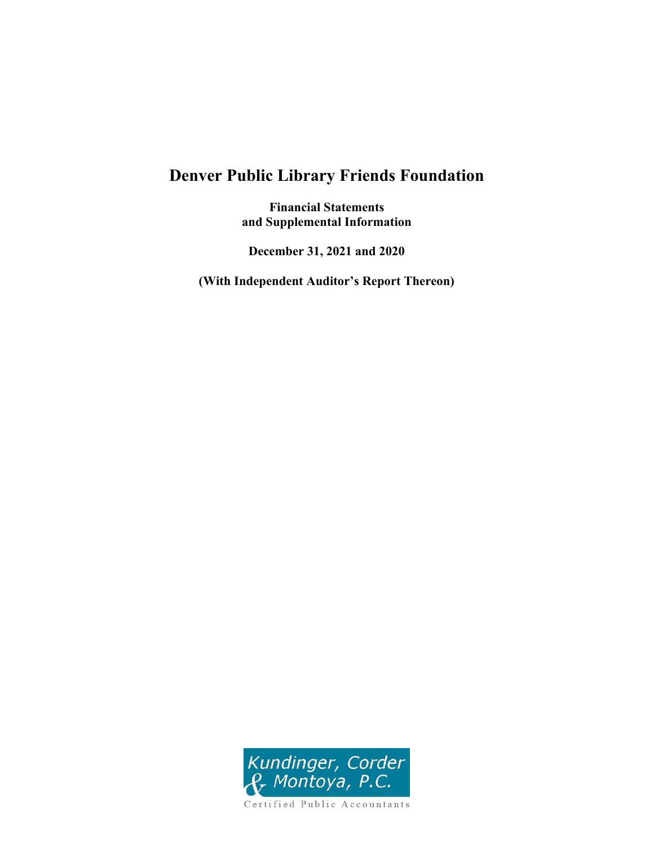# **Denver Public Library Friends Foundation**

**Financial Statements and Supplemental Information**

**December 31, 2021 and 2020**

**(With Independent Auditor's Report Thereon)**

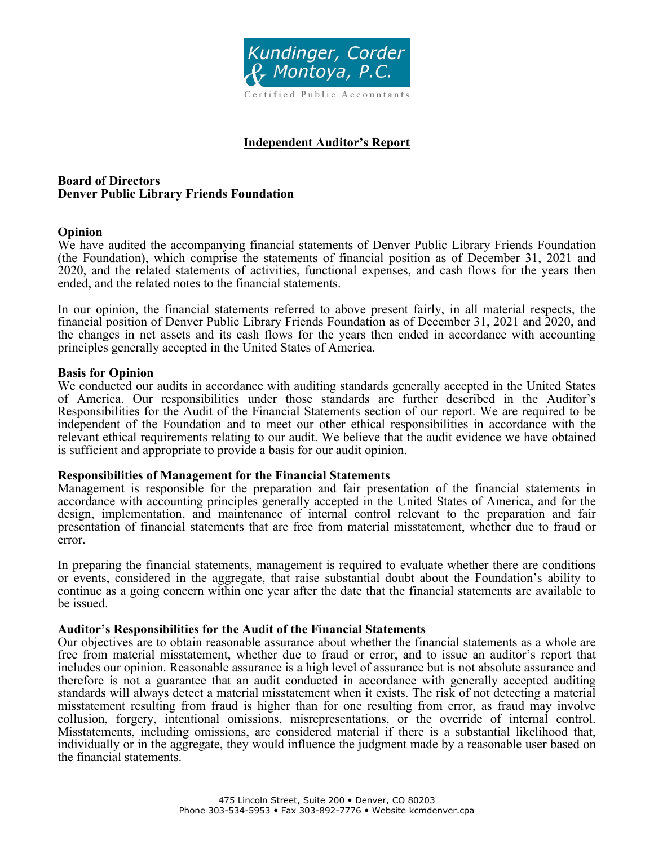

# **Independent Auditor's Report**

# **Board of Directors Denver Public Library Friends Foundation**

#### **Opinion**

We have audited the accompanying financial statements of Denver Public Library Friends Foundation (the Foundation), which comprise the statements of financial position as of December 31, 2021 and 2020, and the related statements of activities, functional expenses, and cash flows for the years then ended, and the related notes to the financial statements.

In our opinion, the financial statements referred to above present fairly, in all material respects, the financial position of Denver Public Library Friends Foundation as of December 31, 2021 and 2020, and the changes in net assets and its cash flows for the years then ended in accordance with accounting principles generally accepted in the United States of America.

#### **Basis for Opinion**

We conducted our audits in accordance with auditing standards generally accepted in the United States of America. Our responsibilities under those standards are further described in the Auditor's Responsibilities for the Audit of the Financial Statements section of our report. We are required to be independent of the Foundation and to meet our other ethical responsibilities in accordance with the relevant ethical requirements relating to our audit. We believe that the audit evidence we have obtained is sufficient and appropriate to provide a basis for our audit opinion.

#### **Responsibilities of Management for the Financial Statements**

Management is responsible for the preparation and fair presentation of the financial statements in accordance with accounting principles generally accepted in the United States of America, and for the design, implementation, and maintenance of internal control relevant to the preparation and fair presentation of financial statements that are free from material misstatement, whether due to fraud or error.

In preparing the financial statements, management is required to evaluate whether there are conditions or events, considered in the aggregate, that raise substantial doubt about the Foundation's ability to continue as a going concern within one year after the date that the financial statements are available to be issued.

#### **Auditor's Responsibilities for the Audit of the Financial Statements**

Our objectives are to obtain reasonable assurance about whether the financial statements as a whole are free from material misstatement, whether due to fraud or error, and to issue an auditor's report that includes our opinion. Reasonable assurance is a high level of assurance but is not absolute assurance and therefore is not a guarantee that an audit conducted in accordance with generally accepted auditing standards will always detect a material misstatement when it exists. The risk of not detecting a material misstatement resulting from fraud is higher than for one resulting from error, as fraud may involve collusion, forgery, intentional omissions, misrepresentations, or the override of internal control. Misstatements, including omissions, are considered material if there is a substantial likelihood that, individually or in the aggregate, they would influence the judgment made by a reasonable user based on the financial statements.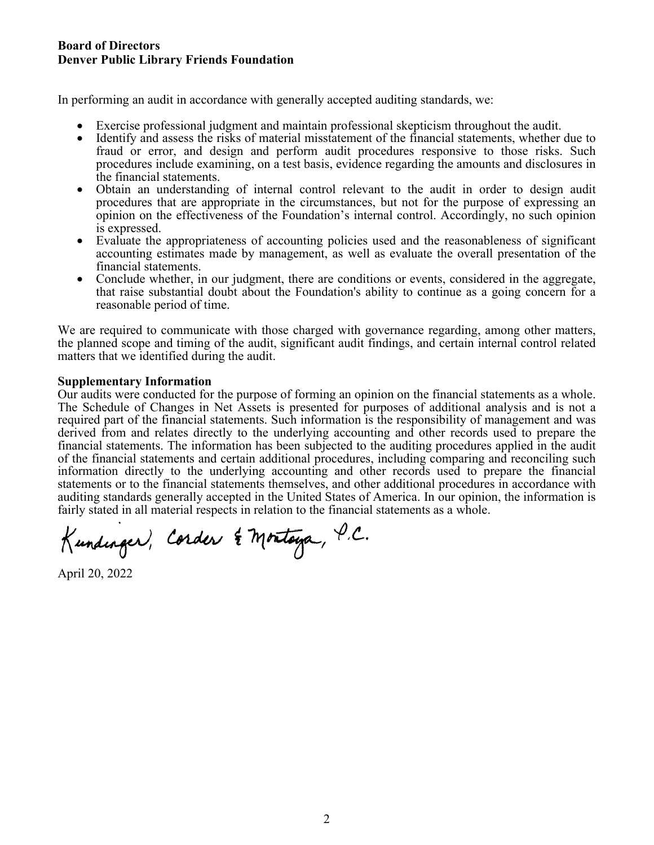# **Board of Directors Denver Public Library Friends Foundation**

In performing an audit in accordance with generally accepted auditing standards, we:

- Exercise professional judgment and maintain professional skepticism throughout the audit.
- Identify and assess the risks of material misstatement of the financial statements, whether due to fraud or error, and design and perform audit procedures responsive to those risks. Such procedures include examining, on a test basis, evidence regarding the amounts and disclosures in the financial statements.
- Obtain an understanding of internal control relevant to the audit in order to design audit procedures that are appropriate in the circumstances, but not for the purpose of expressing an opinion on the effectiveness of the Foundation's internal control. Accordingly, no such opinion is expressed.
- Evaluate the appropriateness of accounting policies used and the reasonableness of significant accounting estimates made by management, as well as evaluate the overall presentation of the financial statements.
- Conclude whether, in our judgment, there are conditions or events, considered in the aggregate, that raise substantial doubt about the Foundation's ability to continue as a going concern for a reasonable period of time.

We are required to communicate with those charged with governance regarding, among other matters, the planned scope and timing of the audit, significant audit findings, and certain internal control related matters that we identified during the audit.

# **Supplementary Information**

Our audits were conducted for the purpose of forming an opinion on the financial statements as a whole. The Schedule of Changes in Net Assets is presented for purposes of additional analysis and is not a required part of the financial statements. Such information is the responsibility of management and was derived from and relates directly to the underlying accounting and other records used to prepare the financial statements. The information has been subjected to the auditing procedures applied in the audit of the financial statements and certain additional procedures, including comparing and reconciling such information directly to the underlying accounting and other records used to prepare the financial statements or to the financial statements themselves, and other additional procedures in accordance with auditing standards generally accepted in the United States of America. In our opinion, the information is fairly stated in all material respects in relation to the financial statements as a whole.

Kundinger, Corder & Montaga, P.C.

April 20, 2022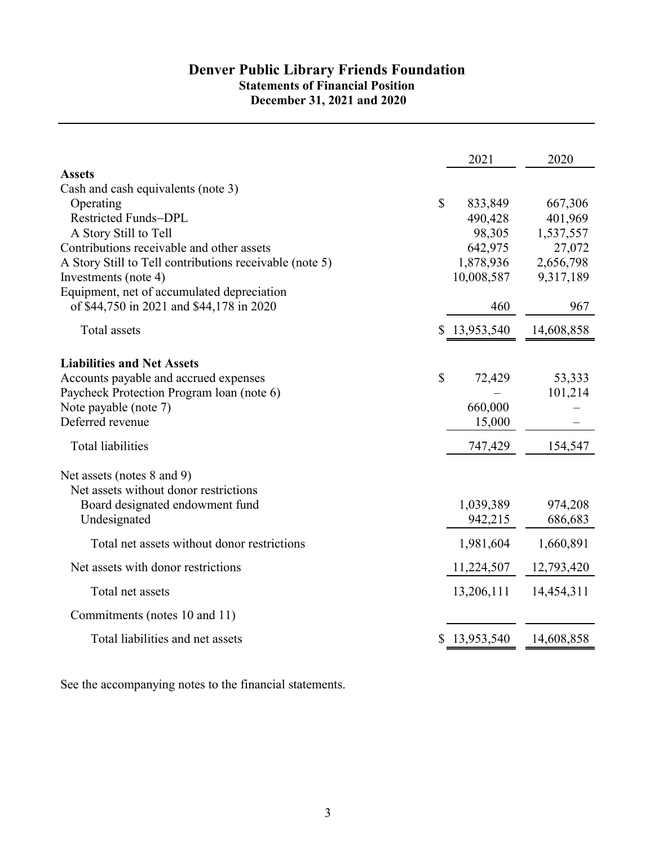# **Denver Public Library Friends Foundation Statements of Financial Position December 31, 2021 and 2020**

|                                                         |              | 2021         | 2020       |
|---------------------------------------------------------|--------------|--------------|------------|
| <b>Assets</b>                                           |              |              |            |
| Cash and cash equivalents (note 3)                      |              |              |            |
| Operating                                               | $\mathbb{S}$ | 833,849      | 667,306    |
| <b>Restricted Funds-DPL</b>                             |              | 490,428      | 401,969    |
| A Story Still to Tell                                   |              | 98,305       | 1,537,557  |
| Contributions receivable and other assets               |              | 642,975      | 27,072     |
| A Story Still to Tell contributions receivable (note 5) |              | 1,878,936    | 2,656,798  |
| Investments (note 4)                                    |              | 10,008,587   | 9,317,189  |
| Equipment, net of accumulated depreciation              |              |              |            |
| of \$44,750 in 2021 and \$44,178 in 2020                |              | 460          | 967        |
| Total assets                                            |              | \$13,953,540 | 14,608,858 |
|                                                         |              |              |            |
| <b>Liabilities and Net Assets</b>                       |              |              |            |
| Accounts payable and accrued expenses                   | $\mathbb{S}$ | 72,429       | 53,333     |
| Paycheck Protection Program loan (note 6)               |              |              | 101,214    |
| Note payable (note 7)                                   |              | 660,000      |            |
| Deferred revenue                                        |              | 15,000       |            |
| <b>Total liabilities</b>                                |              | 747,429      | 154,547    |
| Net assets (notes 8 and 9)                              |              |              |            |
| Net assets without donor restrictions                   |              |              |            |
| Board designated endowment fund                         |              | 1,039,389    | 974,208    |
| Undesignated                                            |              | 942,215      | 686,683    |
| Total net assets without donor restrictions             |              | 1,981,604    | 1,660,891  |
| Net assets with donor restrictions                      |              | 11,224,507   | 12,793,420 |
| Total net assets                                        |              | 13,206,111   | 14,454,311 |
| Commitments (notes 10 and 11)                           |              |              |            |
| Total liabilities and net assets                        |              | 13,953,540   | 14,608,858 |
|                                                         |              |              |            |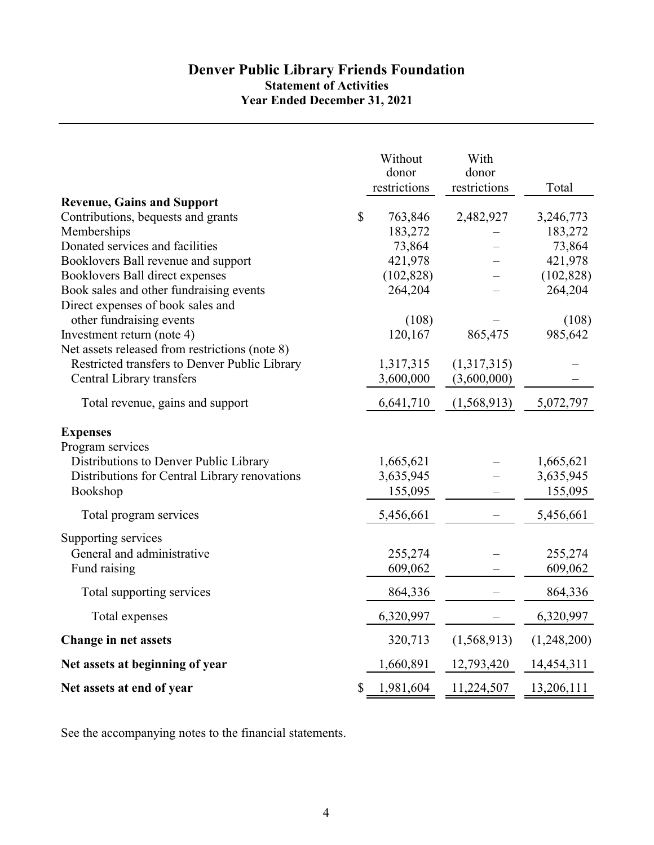# **Statement of Activities Year Ended December 31, 2021 Denver Public Library Friends Foundation**

|                                                | Without         | With         |             |
|------------------------------------------------|-----------------|--------------|-------------|
|                                                | donor           | donor        |             |
|                                                | restrictions    | restrictions | Total       |
| <b>Revenue, Gains and Support</b>              |                 |              |             |
| Contributions, bequests and grants             | \$<br>763,846   | 2,482,927    | 3,246,773   |
| Memberships                                    | 183,272         |              | 183,272     |
| Donated services and facilities                | 73,864          |              | 73,864      |
| Booklovers Ball revenue and support            | 421,978         |              | 421,978     |
| Booklovers Ball direct expenses                | (102, 828)      |              | (102, 828)  |
| Book sales and other fundraising events        | 264,204         |              | 264,204     |
| Direct expenses of book sales and              |                 |              |             |
| other fundraising events                       | (108)           |              | (108)       |
| Investment return (note 4)                     | 120,167         | 865,475      | 985,642     |
| Net assets released from restrictions (note 8) |                 |              |             |
| Restricted transfers to Denver Public Library  | 1,317,315       | (1,317,315)  |             |
| Central Library transfers                      | 3,600,000       | (3,600,000)  |             |
| Total revenue, gains and support               | 6,641,710       | (1,568,913)  | 5,072,797   |
| <b>Expenses</b>                                |                 |              |             |
| Program services                               |                 |              |             |
| Distributions to Denver Public Library         | 1,665,621       |              | 1,665,621   |
| Distributions for Central Library renovations  | 3,635,945       |              | 3,635,945   |
| Bookshop                                       | 155,095         |              | 155,095     |
| Total program services                         | 5,456,661       |              | 5,456,661   |
| Supporting services                            |                 |              |             |
| General and administrative                     | 255,274         |              | 255,274     |
| Fund raising                                   | 609,062         |              | 609,062     |
|                                                |                 |              |             |
| Total supporting services                      | 864,336         |              | 864,336     |
| Total expenses                                 | 6,320,997       |              | 6,320,997   |
| <b>Change in net assets</b>                    | 320,713         | (1,568,913)  | (1,248,200) |
| Net assets at beginning of year                | 1,660,891       | 12,793,420   | 14,454,311  |
| Net assets at end of year                      | \$<br>1,981,604 | 11,224,507   | 13,206,111  |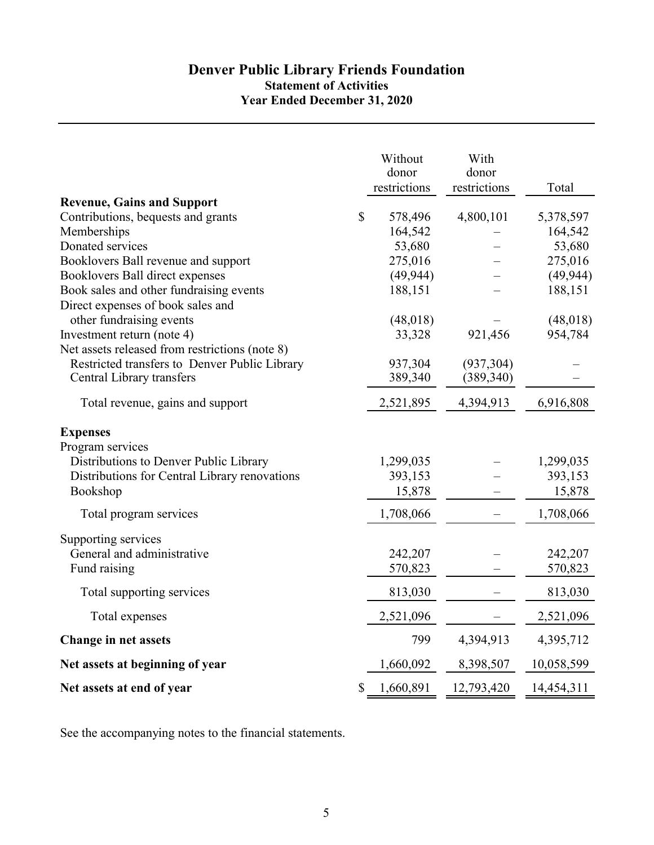# **Denver Public Library Friends Foundation Statement of Activities Year Ended December 31, 2020**

|                                                | Without<br>donor | With<br>donor |            |
|------------------------------------------------|------------------|---------------|------------|
|                                                | restrictions     | restrictions  | Total      |
| <b>Revenue, Gains and Support</b>              |                  |               |            |
| Contributions, bequests and grants             | \$<br>578,496    | 4,800,101     | 5,378,597  |
| Memberships                                    | 164,542          |               | 164,542    |
| Donated services                               | 53,680           |               | 53,680     |
| Booklovers Ball revenue and support            | 275,016          |               | 275,016    |
| Booklovers Ball direct expenses                | (49, 944)        |               | (49, 944)  |
| Book sales and other fundraising events        | 188,151          |               | 188,151    |
| Direct expenses of book sales and              |                  |               |            |
| other fundraising events                       | (48,018)         |               | (48,018)   |
| Investment return (note 4)                     | 33,328           | 921,456       | 954,784    |
| Net assets released from restrictions (note 8) |                  |               |            |
| Restricted transfers to Denver Public Library  | 937,304          | (937, 304)    |            |
| Central Library transfers                      | 389,340          | (389, 340)    |            |
| Total revenue, gains and support               | 2,521,895        | 4,394,913     | 6,916,808  |
| <b>Expenses</b><br>Program services            |                  |               |            |
| Distributions to Denver Public Library         | 1,299,035        |               | 1,299,035  |
| Distributions for Central Library renovations  | 393,153          |               | 393,153    |
| Bookshop                                       | 15,878           |               | 15,878     |
|                                                |                  |               |            |
| Total program services                         | 1,708,066        |               | 1,708,066  |
| Supporting services                            |                  |               |            |
| General and administrative                     | 242,207          |               | 242,207    |
| Fund raising                                   | 570,823          |               | 570,823    |
| Total supporting services                      | 813,030          |               | 813,030    |
| Total expenses                                 | 2,521,096        |               | 2,521,096  |
| <b>Change in net assets</b>                    | 799              | 4,394,913     | 4,395,712  |
| Net assets at beginning of year                | 1,660,092        | 8,398,507     | 10,058,599 |
| Net assets at end of year                      | \$<br>1,660,891  | 12,793,420    | 14,454,311 |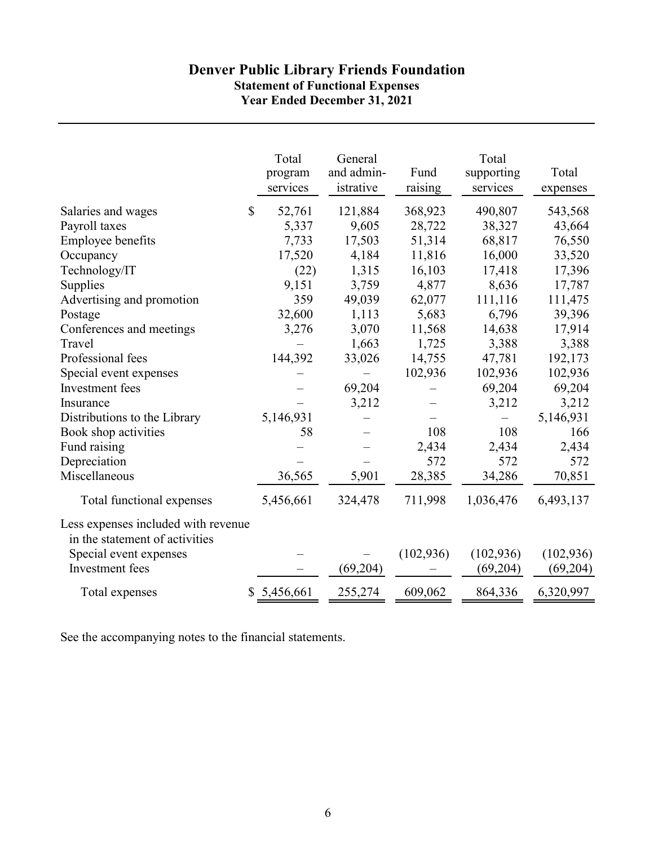# **Denver Public Library Friends Foundation Statement of Functional Expenses Year Ended December 31, 2021**

|                                                                       | Total<br>program<br>services | General<br>and admin-<br>istrative | Fund<br>raising | Total<br>supporting<br>services | Total<br>expenses |
|-----------------------------------------------------------------------|------------------------------|------------------------------------|-----------------|---------------------------------|-------------------|
| Salaries and wages                                                    | $\mathcal{S}$<br>52,761      | 121,884                            | 368,923         | 490,807                         | 543,568           |
| Payroll taxes                                                         | 5,337                        | 9,605                              | 28,722          | 38,327                          | 43,664            |
| <b>Employee benefits</b>                                              | 7,733                        | 17,503                             | 51,314          | 68,817                          | 76,550            |
| Occupancy                                                             | 17,520                       | 4,184                              | 11,816          | 16,000                          | 33,520            |
| Technology/IT                                                         | (22)                         | 1,315                              | 16,103          | 17,418                          | 17,396            |
| Supplies                                                              | 9,151                        | 3,759                              | 4,877           | 8,636                           | 17,787            |
| Advertising and promotion                                             | 359                          | 49,039                             | 62,077          | 111,116                         | 111,475           |
| Postage                                                               | 32,600                       | 1,113                              | 5,683           | 6,796                           | 39,396            |
| Conferences and meetings                                              | 3,276                        | 3,070                              | 11,568          | 14,638                          | 17,914            |
| Travel                                                                |                              | 1,663                              | 1,725           | 3,388                           | 3,388             |
| Professional fees                                                     | 144,392                      | 33,026                             | 14,755          | 47,781                          | 192,173           |
| Special event expenses                                                |                              |                                    | 102,936         | 102,936                         | 102,936           |
| Investment fees                                                       |                              | 69,204                             |                 | 69,204                          | 69,204            |
| Insurance                                                             |                              | 3,212                              |                 | 3,212                           | 3,212             |
| Distributions to the Library                                          | 5,146,931                    |                                    |                 |                                 | 5,146,931         |
| Book shop activities                                                  | 58                           |                                    | 108             | 108                             | 166               |
| Fund raising                                                          |                              |                                    | 2,434           | 2,434                           | 2,434             |
| Depreciation                                                          |                              |                                    | 572             | 572                             | 572               |
| Miscellaneous                                                         | 36,565                       | 5,901                              | 28,385          | 34,286                          | 70,851            |
| Total functional expenses                                             | 5,456,661                    | 324,478                            | 711,998         | 1,036,476                       | 6,493,137         |
| Less expenses included with revenue<br>in the statement of activities |                              |                                    |                 |                                 |                   |
| Special event expenses                                                |                              |                                    | (102, 936)      | (102, 936)                      | (102, 936)        |
| Investment fees                                                       |                              | (69,204)                           |                 | (69,204)                        | (69, 204)         |
| Total expenses                                                        | 5,456,661<br>S               | 255,274                            | 609,062         | 864,336                         | 6,320,997         |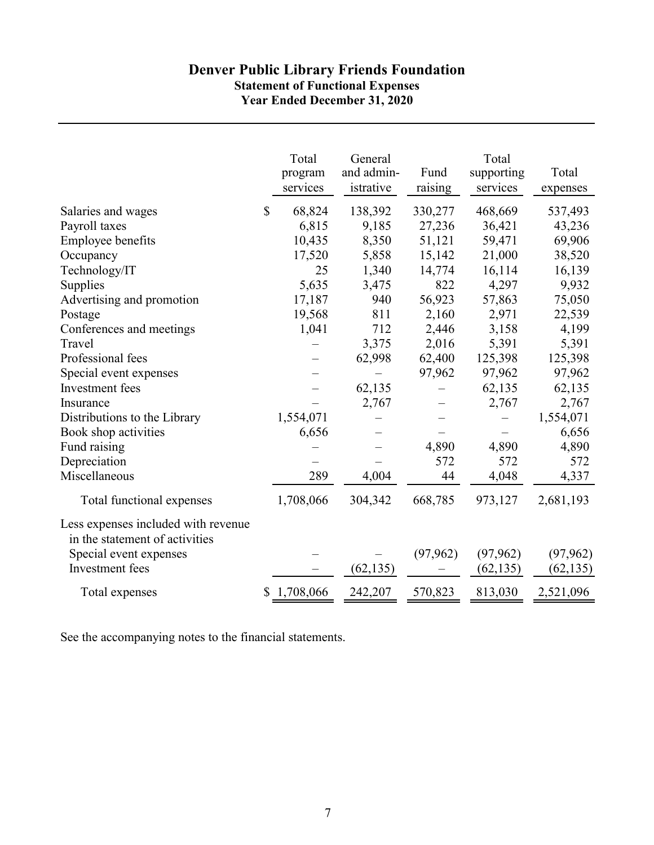# **Denver Public Library Friends Foundation Statement of Functional Expenses Year Ended December 31, 2020**

|                                                                       |              | Total<br>program<br>services | General<br>and admin-<br>istrative | Fund<br>raising | Total<br>supporting<br>services | Total<br>expenses |
|-----------------------------------------------------------------------|--------------|------------------------------|------------------------------------|-----------------|---------------------------------|-------------------|
| Salaries and wages                                                    | $\mathbb{S}$ | 68,824                       | 138,392                            | 330,277         | 468,669                         | 537,493           |
| Payroll taxes                                                         |              | 6,815                        | 9,185                              | 27,236          | 36,421                          | 43,236            |
| <b>Employee benefits</b>                                              |              | 10,435                       | 8,350                              | 51,121          | 59,471                          | 69,906            |
| Occupancy                                                             |              | 17,520                       | 5,858                              | 15,142          | 21,000                          | 38,520            |
| Technology/IT                                                         |              | 25                           | 1,340                              | 14,774          | 16,114                          | 16,139            |
| Supplies                                                              |              | 5,635                        | 3,475                              | 822             | 4,297                           | 9,932             |
| Advertising and promotion                                             |              | 17,187                       | 940                                | 56,923          | 57,863                          | 75,050            |
| Postage                                                               |              | 19,568                       | 811                                | 2,160           | 2,971                           | 22,539            |
| Conferences and meetings                                              |              | 1,041                        | 712                                | 2,446           | 3,158                           | 4,199             |
| Travel                                                                |              |                              | 3,375                              | 2,016           | 5,391                           | 5,391             |
| Professional fees                                                     |              |                              | 62,998                             | 62,400          | 125,398                         | 125,398           |
| Special event expenses                                                |              |                              |                                    | 97,962          | 97,962                          | 97,962            |
| Investment fees                                                       |              |                              | 62,135                             |                 | 62,135                          | 62,135            |
| Insurance                                                             |              |                              | 2,767                              |                 | 2,767                           | 2,767             |
| Distributions to the Library                                          |              | 1,554,071                    |                                    |                 |                                 | 1,554,071         |
| Book shop activities                                                  |              | 6,656                        |                                    |                 |                                 | 6,656             |
| Fund raising                                                          |              |                              |                                    | 4,890           | 4,890                           | 4,890             |
| Depreciation                                                          |              |                              |                                    | 572             | 572                             | 572               |
| Miscellaneous                                                         |              | 289                          | 4,004                              | 44              | 4,048                           | 4,337             |
| Total functional expenses                                             |              | 1,708,066                    | 304,342                            | 668,785         | 973,127                         | 2,681,193         |
| Less expenses included with revenue<br>in the statement of activities |              |                              |                                    |                 |                                 |                   |
| Special event expenses                                                |              |                              |                                    | (97, 962)       | (97, 962)                       | (97, 962)         |
| Investment fees                                                       |              |                              | (62, 135)                          |                 | (62, 135)                       | (62, 135)         |
| Total expenses                                                        | \$           | 1,708,066                    | 242,207                            | 570,823         | 813,030                         | 2,521,096         |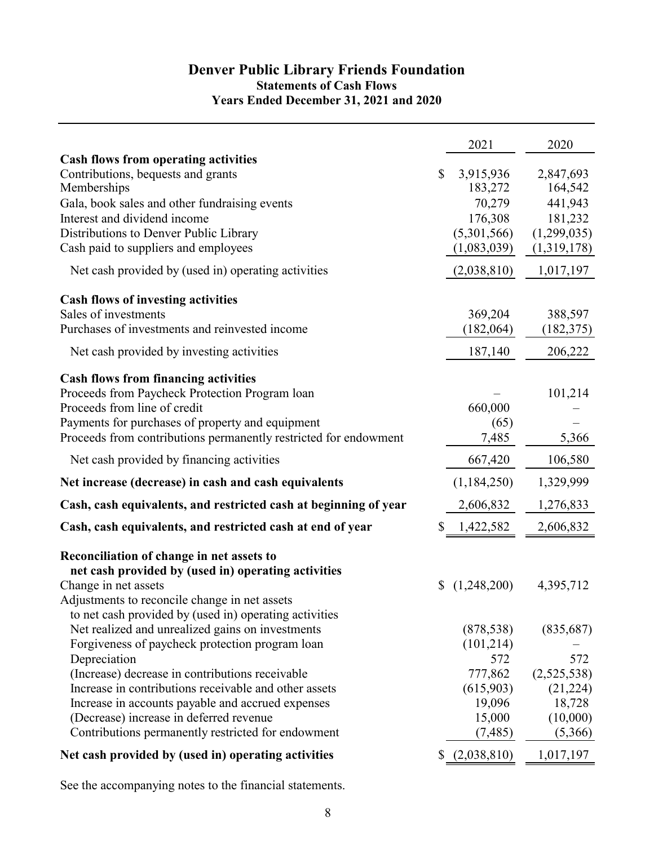# **Denver Public Library Friends Foundation Statements of Cash Flows Years Ended December 31, 2021 and 2020**

|                                                                                                          | 2021                 | 2020                     |
|----------------------------------------------------------------------------------------------------------|----------------------|--------------------------|
| <b>Cash flows from operating activities</b>                                                              |                      |                          |
| Contributions, bequests and grants                                                                       | \$<br>3,915,936      | 2,847,693                |
| Memberships                                                                                              | 183,272              | 164,542                  |
| Gala, book sales and other fundraising events                                                            | 70,279               | 441,943                  |
| Interest and dividend income                                                                             | 176,308              | 181,232                  |
| Distributions to Denver Public Library                                                                   | (5,301,566)          | (1,299,035)              |
| Cash paid to suppliers and employees                                                                     | (1,083,039)          | (1,319,178)              |
| Net cash provided by (used in) operating activities                                                      | (2,038,810)          | 1,017,197                |
| <b>Cash flows of investing activities</b>                                                                |                      |                          |
| Sales of investments                                                                                     | 369,204              | 388,597                  |
| Purchases of investments and reinvested income                                                           | (182,064)            | (182, 375)               |
| Net cash provided by investing activities                                                                | 187,140              | 206,222                  |
| <b>Cash flows from financing activities</b>                                                              |                      |                          |
| Proceeds from Paycheck Protection Program loan                                                           |                      | 101,214                  |
| Proceeds from line of credit                                                                             | 660,000              |                          |
| Payments for purchases of property and equipment                                                         | (65)                 |                          |
| Proceeds from contributions permanently restricted for endowment                                         | 7,485                | 5,366                    |
| Net cash provided by financing activities                                                                | 667,420              | 106,580                  |
| Net increase (decrease) in cash and cash equivalents                                                     | (1,184,250)          | 1,329,999                |
| Cash, cash equivalents, and restricted cash at beginning of year                                         | 2,606,832            | 1,276,833                |
| Cash, cash equivalents, and restricted cash at end of year                                               | 1,422,582            | 2,606,832                |
| Reconciliation of change in net assets to                                                                |                      |                          |
| net cash provided by (used in) operating activities                                                      |                      |                          |
| Change in net assets                                                                                     | \$<br>(1,248,200)    | 4,395,712                |
| Adjustments to reconcile change in net assets                                                            |                      |                          |
| to net cash provided by (used in) operating activities                                                   |                      |                          |
| Net realized and unrealized gains on investments                                                         | (878, 538)           | (835, 687)               |
| Forgiveness of paycheck protection program loan                                                          | (101, 214)           |                          |
| Depreciation                                                                                             | 572                  | 572                      |
| (Increase) decrease in contributions receivable<br>Increase in contributions receivable and other assets | 777,862<br>(615,903) | (2,525,538)<br>(21, 224) |
| Increase in accounts payable and accrued expenses                                                        | 19,096               | 18,728                   |
| (Decrease) increase in deferred revenue                                                                  | 15,000               | (10,000)                 |
| Contributions permanently restricted for endowment                                                       | (7, 485)             | (5,366)                  |
| Net cash provided by (used in) operating activities                                                      | (2,038,810)          | 1,017,197                |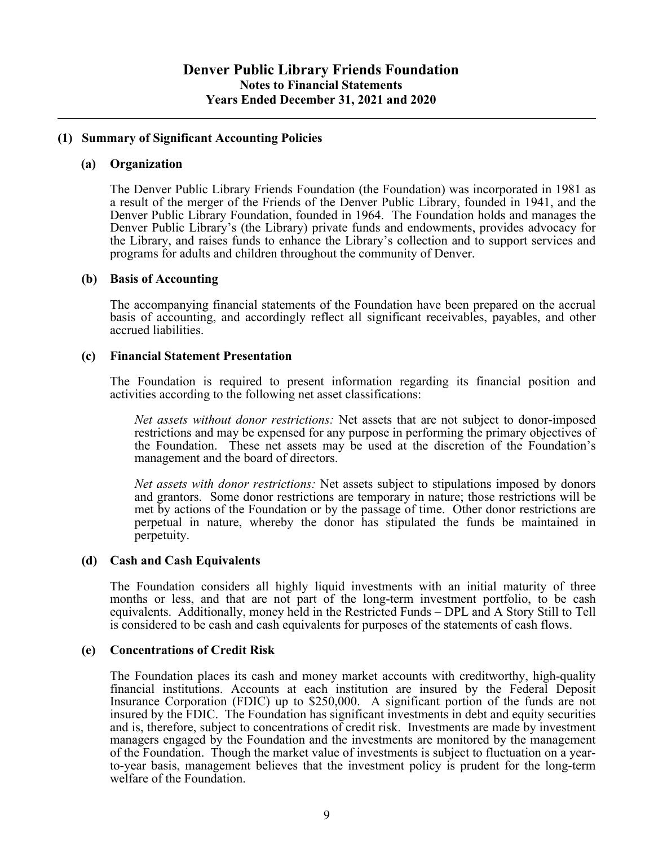# **(1) Summary of Significant Accounting Policies**

#### **(a) Organization**

The Denver Public Library Friends Foundation (the Foundation) was incorporated in 1981 as a result of the merger of the Friends of the Denver Public Library, founded in 1941, and the Denver Public Library Foundation, founded in 1964. The Foundation holds and manages the Denver Public Library's (the Library) private funds and endowments, provides advocacy for the Library, and raises funds to enhance the Library's collection and to support services and programs for adults and children throughout the community of Denver.

#### **(b) Basis of Accounting**

The accompanying financial statements of the Foundation have been prepared on the accrual basis of accounting, and accordingly reflect all significant receivables, payables, and other accrued liabilities.

#### **(c) Financial Statement Presentation**

The Foundation is required to present information regarding its financial position and activities according to the following net asset classifications:

*Net assets without donor restrictions:* Net assets that are not subject to donor-imposed restrictions and may be expensed for any purpose in performing the primary objectives of the Foundation. These net assets may be used at the discretion of the Foundation's management and the board of directors.

*Net assets with donor restrictions:* Net assets subject to stipulations imposed by donors and grantors. Some donor restrictions are temporary in nature; those restrictions will be met by actions of the Foundation or by the passage of time. Other donor restrictions are perpetual in nature, whereby the donor has stipulated the funds be maintained in perpetuity.

#### **(d) Cash and Cash Equivalents**

The Foundation considers all highly liquid investments with an initial maturity of three months or less, and that are not part of the long-term investment portfolio, to be cash equivalents. Additionally, money held in the Restricted Funds – DPL and A Story Still to Tell is considered to be cash and cash equivalents for purposes of the statements of cash flows.

#### **(e) Concentrations of Credit Risk**

The Foundation places its cash and money market accounts with creditworthy, high-quality financial institutions. Accounts at each institution are insured by the Federal Deposit Insurance Corporation (FDIC) up to \$250,000. A significant portion of the funds are not insured by the FDIC. The Foundation has significant investments in debt and equity securities and is, therefore, subject to concentrations of credit risk. Investments are made by investment managers engaged by the Foundation and the investments are monitored by the management of the Foundation. Though the market value of investments is subject to fluctuation on a yearto-year basis, management believes that the investment policy is prudent for the long-term welfare of the Foundation.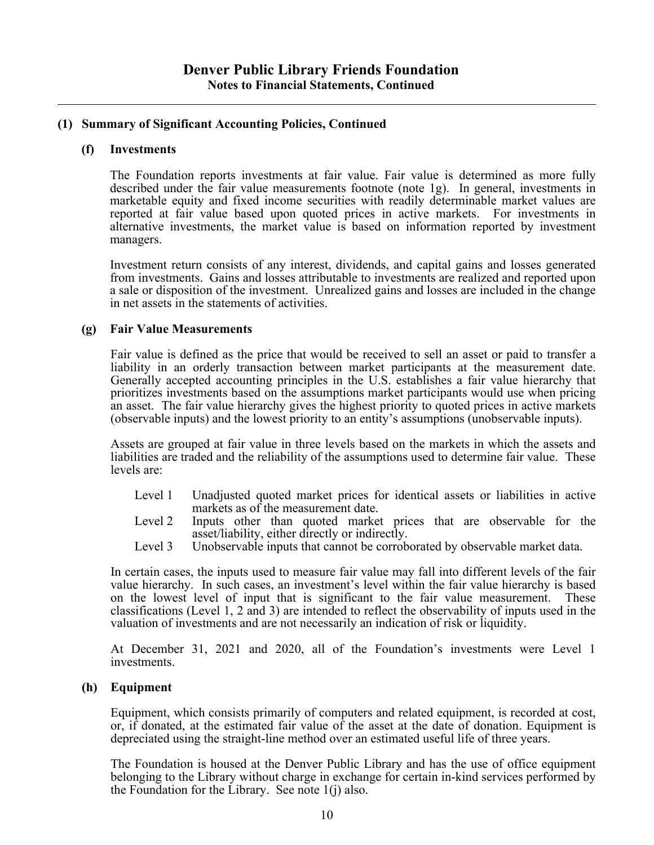# **(1) Summary of Significant Accounting Policies, Continued**

# **(f) Investments**

The Foundation reports investments at fair value. Fair value is determined as more fully described under the fair value measurements footnote (note 1g). In general, investments in marketable equity and fixed income securities with readily determinable market values are reported at fair value based upon quoted prices in active markets. For investments in alternative investments, the market value is based on information reported by investment managers.

Investment return consists of any interest, dividends, and capital gains and losses generated from investments. Gains and losses attributable to investments are realized and reported upon a sale or disposition of the investment. Unrealized gains and losses are included in the change in net assets in the statements of activities.

# **(g) Fair Value Measurements**

Fair value is defined as the price that would be received to sell an asset or paid to transfer a liability in an orderly transaction between market participants at the measurement date. Generally accepted accounting principles in the U.S. establishes a fair value hierarchy that prioritizes investments based on the assumptions market participants would use when pricing an asset. The fair value hierarchy gives the highest priority to quoted prices in active markets (observable inputs) and the lowest priority to an entity's assumptions (unobservable inputs).

Assets are grouped at fair value in three levels based on the markets in which the assets and liabilities are traded and the reliability of the assumptions used to determine fair value. These levels are:

- Level 1 Unadjusted quoted market prices for identical assets or liabilities in active markets as of the measurement date.
- Level 2 Inputs other than quoted market prices that are observable for the asset/liability, either directly or indirectly.
- Level 3 Unobservable inputs that cannot be corroborated by observable market data.

In certain cases, the inputs used to measure fair value may fall into different levels of the fair value hierarchy. In such cases, an investment's level within the fair value hierarchy is based on the lowest level of input that is significant to the fair value measurement. These classifications (Level 1, 2 and 3) are intended to reflect the observability of inputs used in the valuation of investments and are not necessarily an indication of risk or liquidity.

At December 31, 2021 and 2020, all of the Foundation's investments were Level 1 investments.

# **(h) Equipment**

Equipment, which consists primarily of computers and related equipment, is recorded at cost, or, if donated, at the estimated fair value of the asset at the date of donation. Equipment is depreciated using the straight-line method over an estimated useful life of three years.

The Foundation is housed at the Denver Public Library and has the use of office equipment belonging to the Library without charge in exchange for certain in-kind services performed by the Foundation for the Library. See note 1(j) also.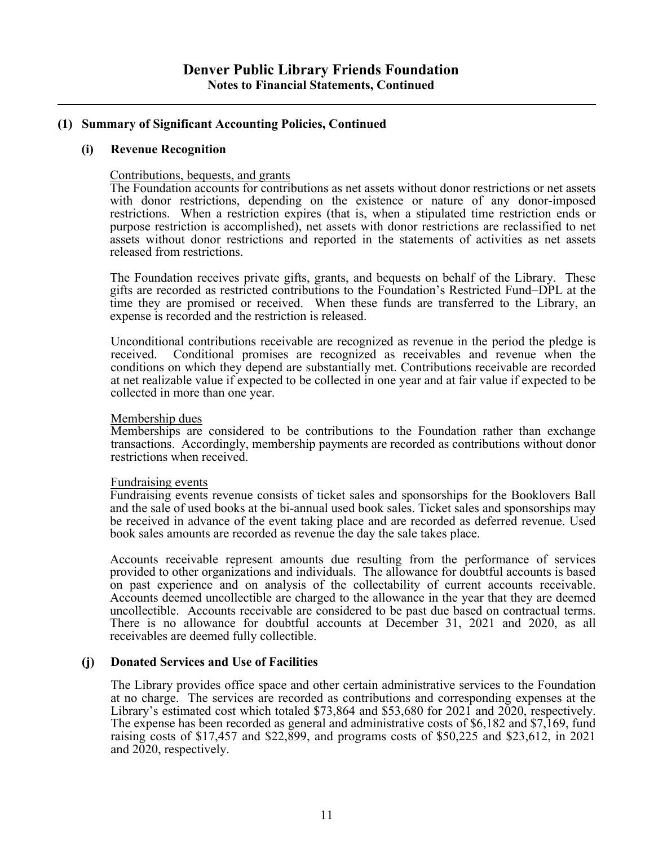# **(1) Summary of Significant Accounting Policies, Continued**

# **(i) Revenue Recognition**

### Contributions, bequests, and grants

The Foundation accounts for contributions as net assets without donor restrictions or net assets with donor restrictions, depending on the existence or nature of any donor-imposed restrictions. When a restriction expires (that is, when a stipulated time restriction ends or purpose restriction is accomplished), net assets with donor restrictions are reclassified to net assets without donor restrictions and reported in the statements of activities as net assets released from restrictions.

The Foundation receives private gifts, grants, and bequests on behalf of the Library. These gifts are recorded as restricted contributions to the Foundation's Restricted FundDPL at the time they are promised or received. When these funds are transferred to the Library, an expense is recorded and the restriction is released.

Unconditional contributions receivable are recognized as revenue in the period the pledge is received. Conditional promises are recognized as receivables and revenue when the conditions on which they depend are substantially met. Contributions receivable are recorded at net realizable value if expected to be collected in one year and at fair value if expected to be collected in more than one year.

#### Membership dues

Memberships are considered to be contributions to the Foundation rather than exchange transactions. Accordingly, membership payments are recorded as contributions without donor restrictions when received.

#### Fundraising events

Fundraising events revenue consists of ticket sales and sponsorships for the Booklovers Ball and the sale of used books at the bi-annual used book sales. Ticket sales and sponsorships may be received in advance of the event taking place and are recorded as deferred revenue. Used book sales amounts are recorded as revenue the day the sale takes place.

Accounts receivable represent amounts due resulting from the performance of services provided to other organizations and individuals. The allowance for doubtful accounts is based on past experience and on analysis of the collectability of current accounts receivable. Accounts deemed uncollectible are charged to the allowance in the year that they are deemed uncollectible. Accounts receivable are considered to be past due based on contractual terms. There is no allowance for doubtful accounts at December 31, 2021 and 2020, as all receivables are deemed fully collectible.

#### **(j) Donated Services and Use of Facilities**

The Library provides office space and other certain administrative services to the Foundation at no charge. The services are recorded as contributions and corresponding expenses at the Library's estimated cost which totaled \$73,864 and \$53,680 for 2021 and 2020, respectively. The expense has been recorded as general and administrative costs of \$6,182 and \$7,169, fund raising costs of \$17,457 and \$22,899, and programs costs of \$50,225 and \$23,612, in 2021 and 2020, respectively.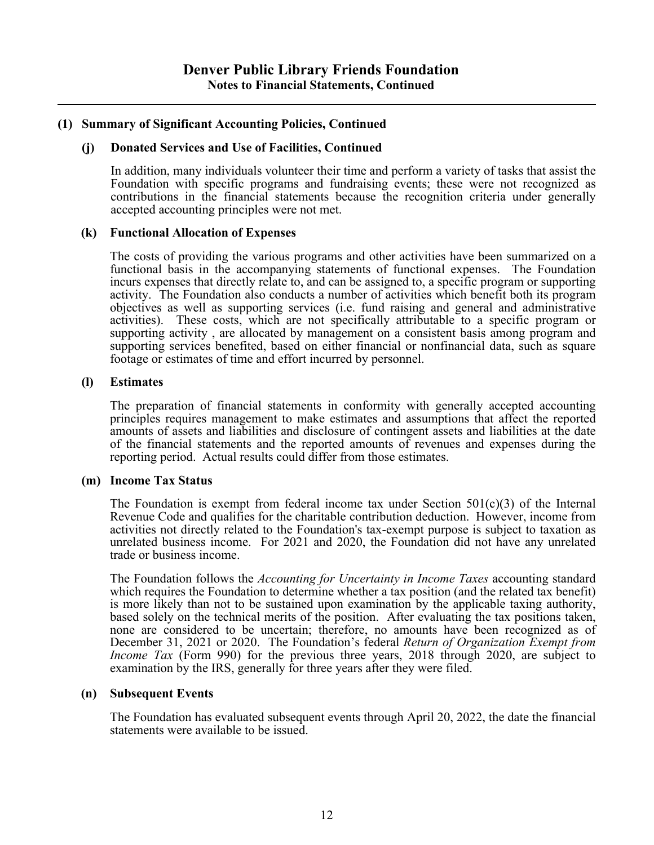# **(1) Summary of Significant Accounting Policies, Continued**

#### **(j) Donated Services and Use of Facilities, Continued**

In addition, many individuals volunteer their time and perform a variety of tasks that assist the Foundation with specific programs and fundraising events; these were not recognized as contributions in the financial statements because the recognition criteria under generally accepted accounting principles were not met.

#### **(k) Functional Allocation of Expenses**

The costs of providing the various programs and other activities have been summarized on a functional basis in the accompanying statements of functional expenses. The Foundation incurs expenses that directly relate to, and can be assigned to, a specific program or supporting activity. The Foundation also conducts a number of activities which benefit both its program objectives as well as supporting services (i.e. fund raising and general and administrative activities). These costs, which are not specifically attributable to a specific program or supporting activity , are allocated by management on a consistent basis among program and supporting services benefited, based on either financial or nonfinancial data, such as square footage or estimates of time and effort incurred by personnel.

# **(l) Estimates**

The preparation of financial statements in conformity with generally accepted accounting principles requires management to make estimates and assumptions that affect the reported amounts of assets and liabilities and disclosure of contingent assets and liabilities at the date of the financial statements and the reported amounts of revenues and expenses during the reporting period. Actual results could differ from those estimates.

#### **(m) Income Tax Status**

The Foundation is exempt from federal income tax under Section  $501(c)(3)$  of the Internal Revenue Code and qualifies for the charitable contribution deduction. However, income from activities not directly related to the Foundation's tax-exempt purpose is subject to taxation as unrelated business income. For 2021 and 2020, the Foundation did not have any unrelated trade or business income.

The Foundation follows the *Accounting for Uncertainty in Income Taxes* accounting standard which requires the Foundation to determine whether a tax position (and the related tax benefit) is more likely than not to be sustained upon examination by the applicable taxing authority, based solely on the technical merits of the position. After evaluating the tax positions taken, none are considered to be uncertain; therefore, no amounts have been recognized as of December 31, 2021 or 2020. The Foundation's federal *Return of Organization Exempt from Income Tax* (Form 990) for the previous three years, 2018 through 2020, are subject to examination by the IRS, generally for three years after they were filed.

#### **(n) Subsequent Events**

The Foundation has evaluated subsequent events through April 20, 2022, the date the financial statements were available to be issued.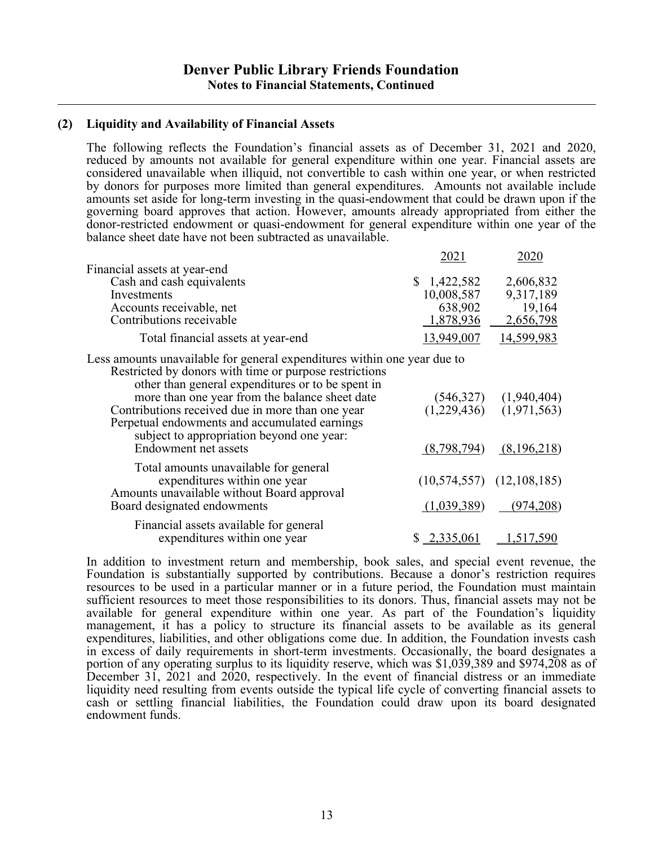# **Denver Public Library Friends Foundation Notes to Financial Statements, Continued**

# **(2) Liquidity and Availability of Financial Assets**

The following reflects the Foundation's financial assets as of December 31, 2021 and 2020, reduced by amounts not available for general expenditure within one year. Financial assets are considered unavailable when illiquid, not convertible to cash within one year, or when restricted by donors for purposes more limited than general expenditures. Amounts not available include amounts set aside for long-term investing in the quasi-endowment that could be drawn upon if the governing board approves that action. However, amounts already appropriated from either the donor-restricted endowment or quasi-endowment for general expenditure within one year of the balance sheet date have not been subtracted as unavailable.

| Financial assets at year-end       |             |            |
|------------------------------------|-------------|------------|
| Cash and cash equivalents          | \$1,422,582 | 2,606,832  |
| Investments                        | 10,008,587  | 9,317,189  |
| Accounts receivable, net           | 638,902     | 19,164     |
| Contributions receivable           | 1,878,936   | 2,656,798  |
| Total financial assets at year-end | 13.949.007  | 14,599,983 |

Less amounts unavailable for general expenditures within one year due to

| Restricted by donors with time or purpose restrictions<br>other than general expenditures or to be spent in         |             |                                                            |
|---------------------------------------------------------------------------------------------------------------------|-------------|------------------------------------------------------------|
| more than one year from the balance sheet date                                                                      |             |                                                            |
| Contributions received due in more than one year                                                                    |             | $(1,229,436)$ $(1,940,404)$<br>$(1,229,436)$ $(1,971,563)$ |
| Perpetual endowments and accumulated earnings<br>subject to appropriation beyond one year:                          |             |                                                            |
| <b>Endowment net assets</b>                                                                                         |             | $(8,798,794)$ $(8,196,218)$                                |
| Total amounts unavailable for general<br>expenditures within one year<br>Amounts unavailable without Board approval |             | $(10,574,557)$ $(12,108,185)$                              |
| Board designated endowments                                                                                         | (1,039,389) | (974,208)                                                  |
| Financial assets available for general<br>expenditures within one year                                              | \$2,335,061 | 1,517,590                                                  |

In addition to investment return and membership, book sales, and special event revenue, the Foundation is substantially supported by contributions. Because a donor's restriction requires resources to be used in a particular manner or in a future period, the Foundation must maintain sufficient resources to meet those responsibilities to its donors. Thus, financial assets may not be available for general expenditure within one year. As part of the Foundation's liquidity management, it has a policy to structure its financial assets to be available as its general expenditures, liabilities, and other obligations come due. In addition, the Foundation invests cash in excess of daily requirements in short-term investments. Occasionally, the board designates a portion of any operating surplus to its liquidity reserve, which was \$1,039,389 and \$974,208 as of December 31, 2021 and 2020, respectively. In the event of financial distress or an immediate liquidity need resulting from events outside the typical life cycle of converting financial assets to cash or settling financial liabilities, the Foundation could draw upon its board designated endowment funds.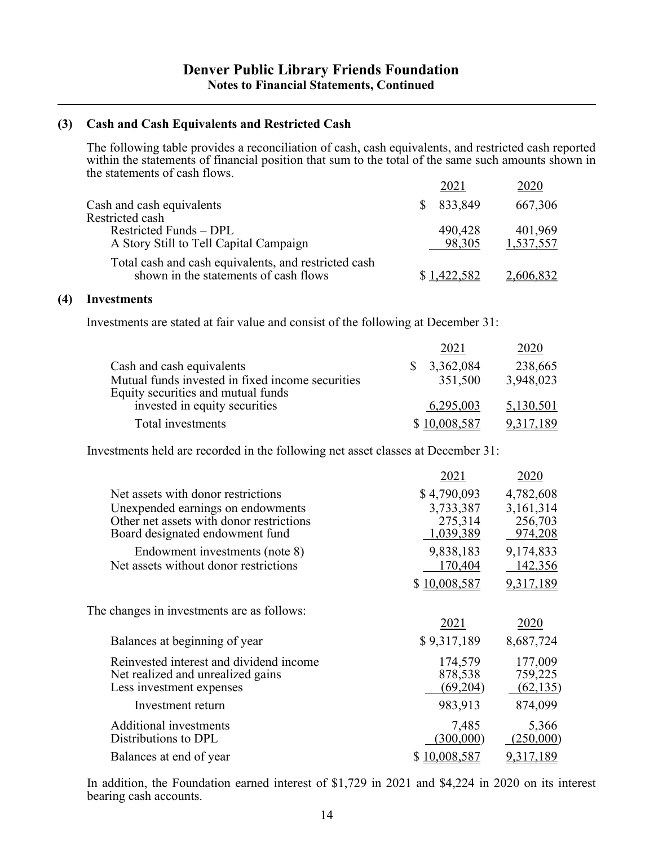# **(3) Cash and Cash Equivalents and Restricted Cash**

The following table provides a reconciliation of cash, cash equivalents, and restricted cash reported within the statements of financial position that sum to the total of the same such amounts shown in the statements of cash flows.

|                                                      | 2021        | 2020      |
|------------------------------------------------------|-------------|-----------|
| Cash and cash equivalents                            | 833,849     | 667,306   |
| Restricted cash                                      |             |           |
| Restricted Funds - DPL                               | 490,428     | 401,969   |
| A Story Still to Tell Capital Campaign               | 98,305      | 1,537,557 |
| Total cash and cash equivalents, and restricted cash |             |           |
| shown in the statements of cash flows                | \$1,422,582 | 2,606,832 |

### **(4) Investments**

Investments are stated at fair value and consist of the following at December 31:

|                                                  | 2021         | 2020      |
|--------------------------------------------------|--------------|-----------|
| Cash and cash equivalents                        | \$3,362,084  | 238,665   |
| Mutual funds invested in fixed income securities | 351,500      | 3,948,023 |
| Equity securities and mutual funds               |              |           |
| invested in equity securities                    | 6,295,003    | 5,130,501 |
| Total investments                                | \$10,008,587 | 9,317,189 |

Investments held are recorded in the following net asset classes at December 31:

|                                                                                                                                                        | 2021                                             | 2020                                         |
|--------------------------------------------------------------------------------------------------------------------------------------------------------|--------------------------------------------------|----------------------------------------------|
| Net assets with donor restrictions<br>Unexpended earnings on endowments<br>Other net assets with donor restrictions<br>Board designated endowment fund | \$4,790,093<br>3,733,387<br>275,314<br>1,039,389 | 4,782,608<br>3,161,314<br>256,703<br>974,208 |
| Endowment investments (note 8)<br>Net assets without donor restrictions                                                                                | 9,838,183<br>170,404<br>\$10,008,587             | 9,174,833<br>142,356<br>9,317,189            |
| The changes in investments are as follows:                                                                                                             | 2021                                             | 2020                                         |
| Balances at beginning of year                                                                                                                          | \$9,317,189                                      | 8,687,724                                    |
| Reinvested interest and dividend income<br>Net realized and unrealized gains<br>Less investment expenses                                               | 174,579<br>878,538<br>(69,204)                   | 177,009<br>759,225<br>(62, 135)              |
| Investment return                                                                                                                                      | 983,913                                          | 874,099                                      |
| <b>Additional investments</b><br>Distributions to DPL                                                                                                  | 7,485<br>(300, 000)                              | 5,366<br>(250,000)                           |
| Balances at end of year                                                                                                                                | 10,008,587                                       | <u>9,317,189</u>                             |

In addition, the Foundation earned interest of \$1,729 in 2021 and \$4,224 in 2020 on its interest bearing cash accounts.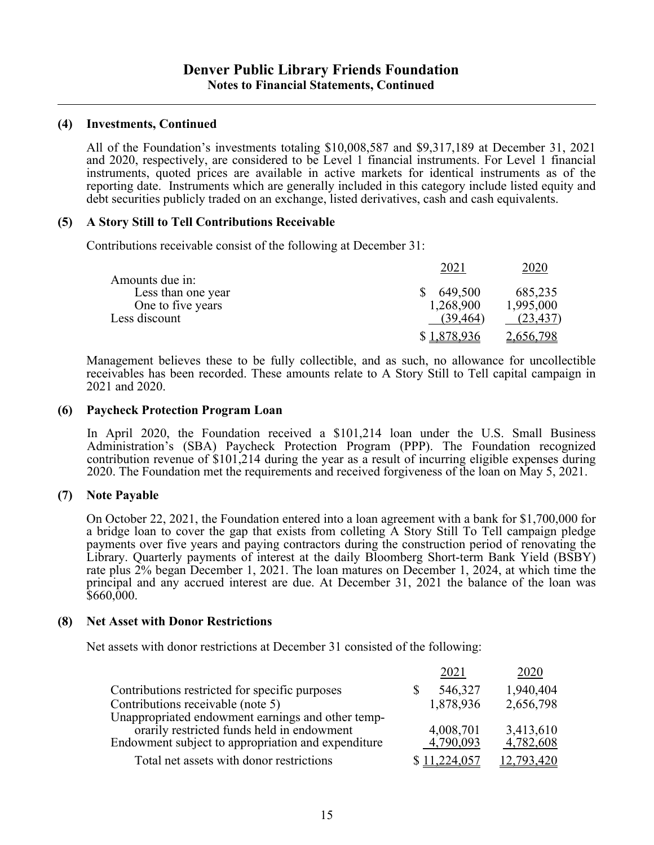# **(4) Investments, Continued**

All of the Foundation's investments totaling \$10,008,587 and \$9,317,189 at December 31, 2021 and 2020, respectively, are considered to be Level 1 financial instruments. For Level 1 financial instruments, quoted prices are available in active markets for identical instruments as of the reporting date. Instruments which are generally included in this category include listed equity and debt securities publicly traded on an exchange, listed derivatives, cash and cash equivalents.

# **(5) A Story Still to Tell Contributions Receivable**

Contributions receivable consist of the following at December 31:

|                    | 2021      | 2020      |
|--------------------|-----------|-----------|
| Amounts due in:    |           |           |
| Less than one year | 649,500   | 685,235   |
| One to five years  | 1,268,900 | 1,995,000 |
| Less discount      | (39, 464) |           |
|                    |           |           |

Management believes these to be fully collectible, and as such, no allowance for uncollectible receivables has been recorded. These amounts relate to A Story Still to Tell capital campaign in 2021 and 2020.

#### **(6) Paycheck Protection Program Loan**

In April 2020, the Foundation received a \$101,214 loan under the U.S. Small Business Administration's (SBA) Paycheck Protection Program (PPP). The Foundation recognized contribution revenue of \$101,214 during the year as a result of incurring eligible expenses during 2020. The Foundation met the requirements and received forgiveness of the loan on May 5, 2021.

# **(7) Note Payable**

On October 22, 2021, the Foundation entered into a loan agreement with a bank for \$1,700,000 for a bridge loan to cover the gap that exists from colleting A Story Still To Tell campaign pledge payments over five years and paying contractors during the construction period of renovating the Library. Quarterly payments of interest at the daily Bloomberg Short-term Bank Yield (BSBY) rate plus 2% began December 1, 2021. The loan matures on December 1, 2024, at which time the principal and any accrued interest are due. At December 31, 2021 the balance of the loan was \$660,000.

#### **(8) Net Asset with Donor Restrictions**

Net assets with donor restrictions at December 31 consisted of the following:

|                                                    | 2021         | 2020       |
|----------------------------------------------------|--------------|------------|
| Contributions restricted for specific purposes     | 546,327      | 1,940,404  |
| Contributions receivable (note 5)                  | 1,878,936    | 2,656,798  |
| Unappropriated endowment earnings and other temp-  |              |            |
| orarily restricted funds held in endowment         | 4,008,701    | 3,413,610  |
| Endowment subject to appropriation and expenditure | 4,790,093    | 4,782,608  |
| Total net assets with donor restrictions           | \$11,224,057 | 12,793,420 |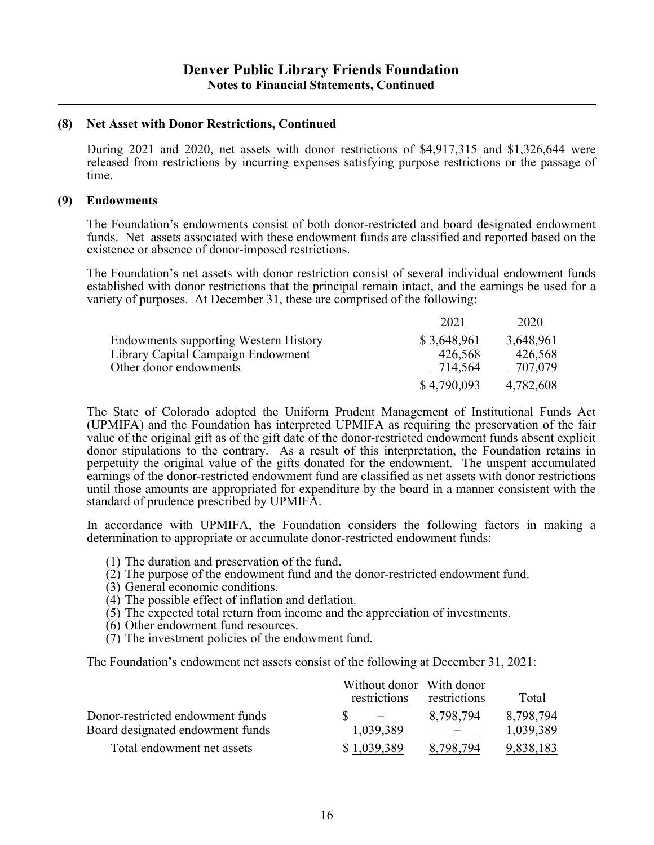# **(8) Net Asset with Donor Restrictions, Continued**

During 2021 and 2020, net assets with donor restrictions of \$4,917,315 and \$1,326,644 were released from restrictions by incurring expenses satisfying purpose restrictions or the passage of time.

#### **(9) Endowments**

The Foundation's endowments consist of both donor-restricted and board designated endowment funds. Net assets associated with these endowment funds are classified and reported based on the existence or absence of donor-imposed restrictions.

The Foundation's net assets with donor restriction consist of several individual endowment funds established with donor restrictions that the principal remain intact, and the earnings be used for a variety of purposes. At December 31, these are comprised of the following:

|                                              | 2021        | 2020      |
|----------------------------------------------|-------------|-----------|
| <b>Endowments supporting Western History</b> | \$3,648,961 | 3,648,961 |
| Library Capital Campaign Endowment           | 426,568     | 426,568   |
| Other donor endowments                       | 714,564     | 707,079   |
|                                              | \$4,790,093 | 4,782,608 |

The State of Colorado adopted the Uniform Prudent Management of Institutional Funds Act (UPMIFA) and the Foundation has interpreted UPMIFA as requiring the preservation of the fair value of the original gift as of the gift date of the donor-restricted endowment funds absent explicit donor stipulations to the contrary. As a result of this interpretation, the Foundation retains in perpetuity the original value of the gifts donated for the endowment. The unspent accumulated earnings of the donor-restricted endowment fund are classified as net assets with donor restrictions until those amounts are appropriated for expenditure by the board in a manner consistent with the standard of prudence prescribed by UPMIFA.

In accordance with UPMIFA, the Foundation considers the following factors in making a determination to appropriate or accumulate donor-restricted endowment funds:

- (1) The duration and preservation of the fund.
- (2) The purpose of the endowment fund and the donor-restricted endowment fund.
- (3) General economic conditions.
- (4) The possible effect of inflation and deflation.
- (5) The expected total return from income and the appreciation of investments.
- (6) Other endowment fund resources.
- (7) The investment policies of the endowment fund.

The Foundation's endowment net assets consist of the following at December 31, 2021:

|                                  | Without donor With donor<br>restrictions | restrictions | Total     |
|----------------------------------|------------------------------------------|--------------|-----------|
| Donor-restricted endowment funds |                                          | 8,798,794    | 8.798.794 |
| Board designated endowment funds | 1,039,389                                |              | 1,039,389 |
| Total endowment net assets       | \$1,039,389                              | 8.798.794    | 9.838.183 |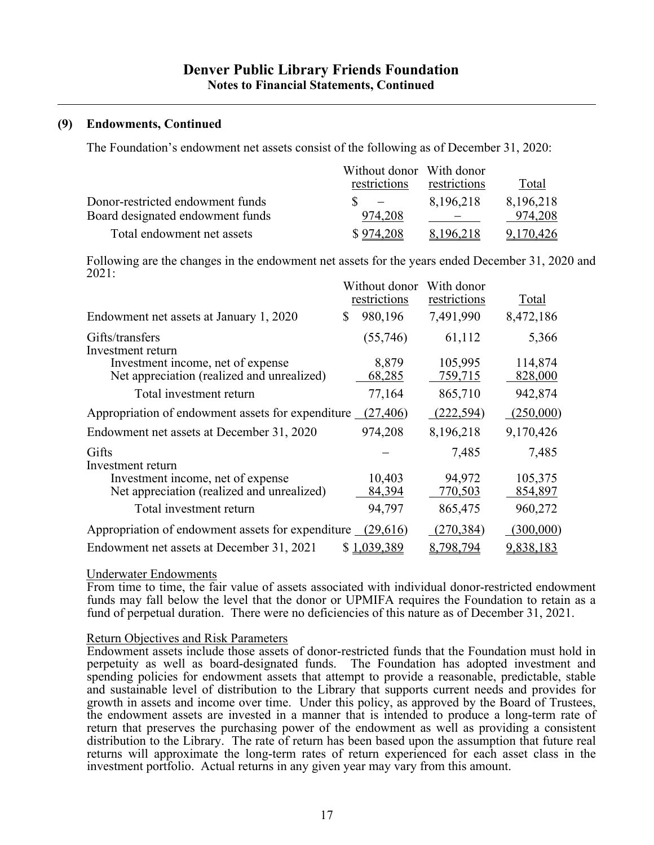# **(9) Endowments, Continued**

The Foundation's endowment net assets consist of the following as of December 31, 2020:

|                                  | Without donor With donor<br>restrictions | restrictions | Total     |
|----------------------------------|------------------------------------------|--------------|-----------|
| Donor-restricted endowment funds |                                          | 8.196.218    | 8,196,218 |
| Board designated endowment funds | 974,208                                  |              | 974,208   |
| Total endowment net assets       | \$974.208                                | 8.196.218    | 9,170,426 |

Following are the changes in the endowment net assets for the years ended December 31, 2020 and 2021:

|                                                   | Without donor<br>restrictions | With donor<br>restrictions | Total     |
|---------------------------------------------------|-------------------------------|----------------------------|-----------|
| Endowment net assets at January 1, 2020           | 980,196<br>S                  | 7,491,990                  | 8,472,186 |
| Gifts/transfers<br>Investment return              | (55,746)                      | 61,112                     | 5,366     |
| Investment income, net of expense                 | 8,879                         | 105,995                    | 114,874   |
| Net appreciation (realized and unrealized)        | 68,285                        | 759,715                    | 828,000   |
| Total investment return                           | 77,164                        | 865,710                    | 942,874   |
| Appropriation of endowment assets for expenditure | (27, 406)                     | (222, 594)                 | (250,000) |
| Endowment net assets at December 31, 2020         | 974,208                       | 8,196,218                  | 9,170,426 |
| Gifts<br>Investment return                        |                               | 7,485                      | 7,485     |
| Investment income, net of expense                 | 10,403                        | 94,972                     | 105,375   |
| Net appreciation (realized and unrealized)        | 84,394                        | 770,503                    | 854,897   |
|                                                   |                               |                            |           |
| Total investment return                           | 94,797                        | 865,475                    | 960,272   |
| Appropriation of endowment assets for expenditure | (29,616)                      | (270, 384)                 | (300,000) |
| Endowment net assets at December 31, 2021         | \$1,039,389                   | 8,798,794                  | 9,838,183 |

#### Underwater Endowments

From time to time, the fair value of assets associated with individual donor-restricted endowment funds may fall below the level that the donor or UPMIFA requires the Foundation to retain as a fund of perpetual duration. There were no deficiencies of this nature as of December 31, 2021.

#### Return Objectives and Risk Parameters

Endowment assets include those assets of donor-restricted funds that the Foundation must hold in perpetuity as well as board-designated funds. The Foundation has adopted investment and spending policies for endowment assets that attempt to provide a reasonable, predictable, stable and sustainable level of distribution to the Library that supports current needs and provides for growth in assets and income over time. Under this policy, as approved by the Board of Trustees, the endowment assets are invested in a manner that is intended to produce a long-term rate of return that preserves the purchasing power of the endowment as well as providing a consistent distribution to the Library. The rate of return has been based upon the assumption that future real returns will approximate the long-term rates of return experienced for each asset class in the investment portfolio. Actual returns in any given year may vary from this amount.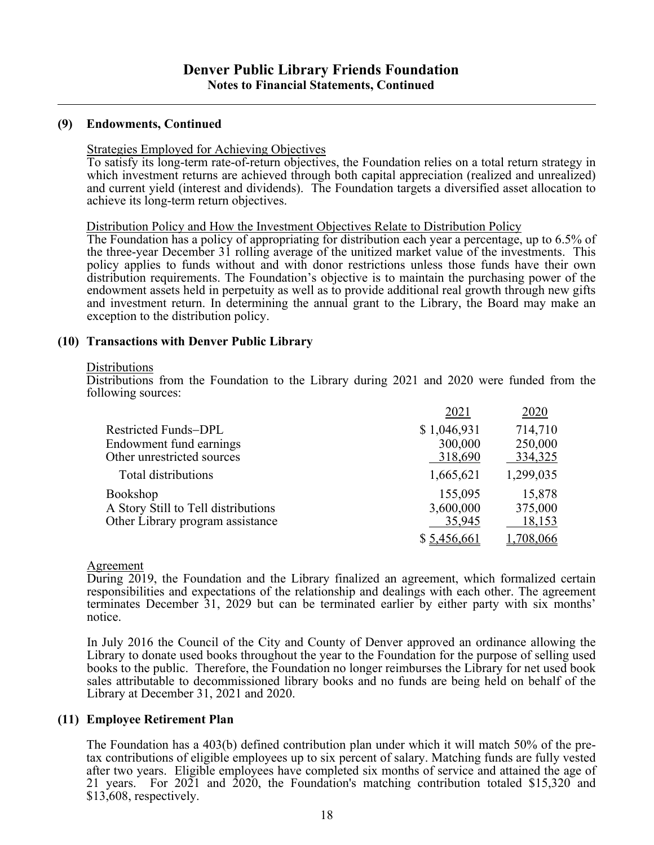# **(9) Endowments, Continued**

#### Strategies Employed for Achieving Objectives

To satisfy its long-term rate-of-return objectives, the Foundation relies on a total return strategy in which investment returns are achieved through both capital appreciation (realized and unrealized) and current yield (interest and dividends). The Foundation targets a diversified asset allocation to achieve its long-term return objectives.

#### Distribution Policy and How the Investment Objectives Relate to Distribution Policy

The Foundation has a policy of appropriating for distribution each year a percentage, up to 6.5% of the three-year December 31 rolling average of the unitized market value of the investments. This policy applies to funds without and with donor restrictions unless those funds have their own distribution requirements. The Foundation's objective is to maintain the purchasing power of the endowment assets held in perpetuity as well as to provide additional real growth through new gifts and investment return. In determining the annual grant to the Library, the Board may make an exception to the distribution policy.

#### **(10) Transactions with Denver Public Library**

#### **Distributions**

Distributions from the Foundation to the Library during 2021 and 2020 were funded from the following sources:

|                                     | 2021        | 2020      |
|-------------------------------------|-------------|-----------|
| Restricted Funds-DPL                | \$1,046,931 | 714,710   |
| Endowment fund earnings             | 300,000     | 250,000   |
| Other unrestricted sources          | 318,690     | 334,325   |
| Total distributions                 | 1,665,621   | 1,299,035 |
| Bookshop                            | 155,095     | 15,878    |
| A Story Still to Tell distributions | 3,600,000   | 375,000   |
| Other Library program assistance    | 35,945      | 18,153    |
|                                     | \$5,456,661 | 1,708,066 |

#### Agreement

During 2019, the Foundation and the Library finalized an agreement, which formalized certain responsibilities and expectations of the relationship and dealings with each other. The agreement terminates December 31, 2029 but can be terminated earlier by either party with six months' notice.

In July 2016 the Council of the City and County of Denver approved an ordinance allowing the Library to donate used books throughout the year to the Foundation for the purpose of selling used books to the public. Therefore, the Foundation no longer reimburses the Library for net used book sales attributable to decommissioned library books and no funds are being held on behalf of the Library at December 31, 2021 and 2020.

#### **(11) Employee Retirement Plan**

The Foundation has a 403(b) defined contribution plan under which it will match 50% of the pretax contributions of eligible employees up to six percent of salary. Matching funds are fully vested after two years. Eligible employees have completed six months of service and attained the age of 21 years. For 2021 and 2020, the Foundation's matching contribution totaled \$15,320 and \$13,608, respectively.